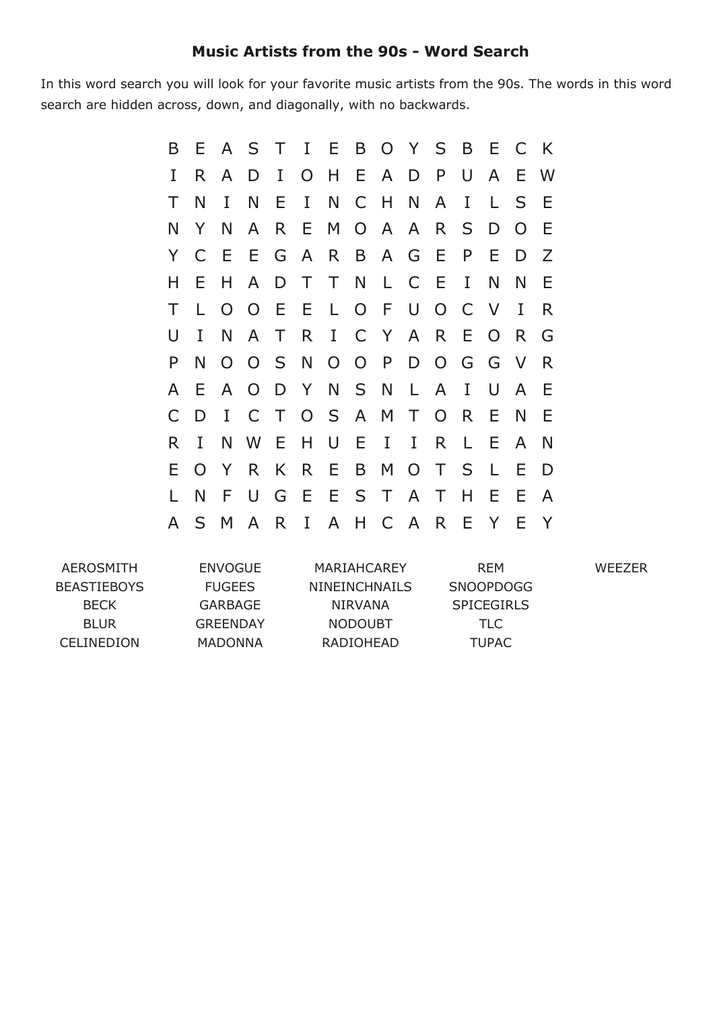## **Music Artists from the 90s Word Search**

In this word search you will look for your favorite music artists from the 90s. The words in this word search are hidden across, down, and diagonally, with no backwards.

| B            | Е            | $\mathsf{A}$   | $S_{\mathcal{C}}$ | T      | I E B O Y S B E |              |       |              |              |              |          |                | $\mathsf{C}$ | K |
|--------------|--------------|----------------|-------------------|--------|-----------------|--------------|-------|--------------|--------------|--------------|----------|----------------|--------------|---|
| I            | R.           | A              | D                 | I      | $\overline{O}$  |              | H E   | $\mathsf{A}$ | D            | P            | U        | $\mathsf{A}$   | E            | W |
| Τ            | N            | I              | N                 | Ε      | $\mathbf{I}$    | N            |       | C H          | N            | A            | I        | L.             | S            | Ε |
| N            | Y            | N              | $\mathsf{A}$      | R.     | E.              |              | M O   | $\mathsf{A}$ | $\mathsf{A}$ | $\mathsf{R}$ | S        | D              | $\Omega$     | E |
| Y            | $\mathsf{C}$ | E              | E.                | G      | $\mathsf{A}$    | R.           | B     | $\mathsf{A}$ | G E          |              | P        | E              | D            | Z |
| н            | Е            | н              | $\mathsf{A}$      | D      | $\top$          |              |       | TNLC         |              | E            | Ι        | N              | N            | Ε |
| Τ            | L            | $\overline{O}$ | $\overline{O}$    | E      | E.              | $\mathsf{L}$ | O F   |              | U            | $O$ $C$      |          | $\vee$         | I            | R |
| U            | I            | N              | A                 | T.     | $\mathsf{R}$    |              |       | I C Y A R    |              |              | E        | $\overline{O}$ | R.           | G |
| P            | N            | $\overline{O}$ |                   |        | O S N           |              | O O P |              | D            | $O$ $G$      |          | G              | $\vee$       | R |
| A            | E            | A              | $\overline{O}$    |        | D Y             |              | N S N |              | $\mathsf{L}$ | $\mathsf{A}$ | $\bf{I}$ | U              | A            | E |
| $\mathsf{C}$ | D            | I              | $\mathsf{C}$      | $\top$ |                 | $O_S$        |       | A M          | $\top$       | $\Omega$     | R.       | E              | N            | Ε |
| R            | I            | N              | W                 | E      | H.              | U            | E     | $\bf{I}$     | $\mathbf{I}$ | R.           | L        | Е              | A            | N |
| Е            | $\Omega$     | Y              | R.                | K      | R.              | E            | B     |              | M O          | T.           | S        | L              | Ε            | D |
|              | N            | F              | U                 | G      |                 | E E S T      |       |              |              | A T          | H        | E              | E            | A |
| A            | S.           | M              | A                 | R      | I               | A            | H     |              | C A          | $\mathsf{R}$ | Ε        | Y              | F            | Y |

WEEZER

AEROSMITH BEASTIEBOYS BECK BLUR CELINEDION ENVOGUE FUGEES GARBAGE GREENDAY MADONNA MARIAHCAREY NINEINCHNAILS NIRVANA NODOUBT RADIOHEAD REM SNOOPDOGG **SPICEGIRLS** TLC TUPAC